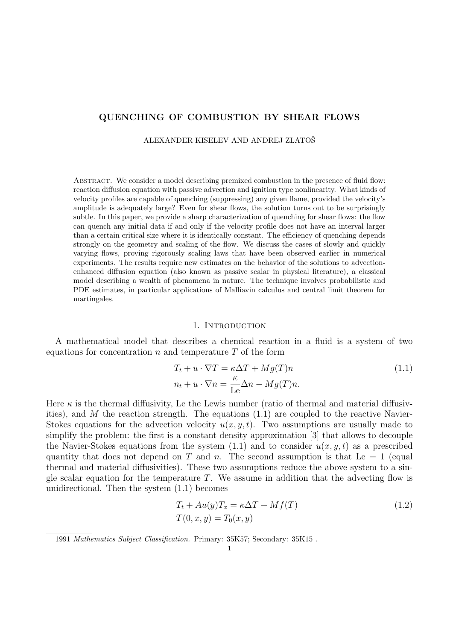# QUENCHING OF COMBUSTION BY SHEAR FLOWS

ALEXANDER KISELEV AND ANDREJ ZLATOŠ

Abstract. We consider a model describing premixed combustion in the presence of fluid flow: reaction diffusion equation with passive advection and ignition type nonlinearity. What kinds of velocity profiles are capable of quenching (suppressing) any given flame, provided the velocity's amplitude is adequately large? Even for shear flows, the solution turns out to be surprisingly subtle. In this paper, we provide a sharp characterization of quenching for shear flows: the flow can quench any initial data if and only if the velocity profile does not have an interval larger than a certain critical size where it is identically constant. The efficiency of quenching depends strongly on the geometry and scaling of the flow. We discuss the cases of slowly and quickly varying flows, proving rigorously scaling laws that have been observed earlier in numerical experiments. The results require new estimates on the behavior of the solutions to advectionenhanced diffusion equation (also known as passive scalar in physical literature), a classical model describing a wealth of phenomena in nature. The technique involves probabilistic and PDE estimates, in particular applications of Malliavin calculus and central limit theorem for martingales.

#### 1. INTRODUCTION

A mathematical model that describes a chemical reaction in a fluid is a system of two equations for concentration  $n$  and temperature  $T$  of the form

$$
T_t + u \cdot \nabla T = \kappa \Delta T + Mg(T)n
$$
  
\n
$$
n_t + u \cdot \nabla n = \frac{\kappa}{\text{Le}} \Delta n - Mg(T)n.
$$
\n(1.1)

Here  $\kappa$  is the thermal diffusivity, Le the Lewis number (ratio of thermal and material diffusivities), and M the reaction strength. The equations  $(1.1)$  are coupled to the reactive Navier-Stokes equations for the advection velocity  $u(x, y, t)$ . Two assumptions are usually made to simplify the problem: the first is a constant density approximation [3] that allows to decouple the Navier-Stokes equations from the system  $(1.1)$  and to consider  $u(x, y, t)$  as a prescribed quantity that does not depend on T and n. The second assumption is that Le  $= 1$  (equal thermal and material diffusivities). These two assumptions reduce the above system to a single scalar equation for the temperature  $T$ . We assume in addition that the advecting flow is unidirectional. Then the system (1.1) becomes

$$
T_t + Au(y)T_x = \kappa \Delta T + Mf(T)
$$
  
\n
$$
T(0, x, y) = T_0(x, y)
$$
\n(1.2)

<sup>1991</sup> Mathematics Subject Classification. Primary: 35K57; Secondary: 35K15 .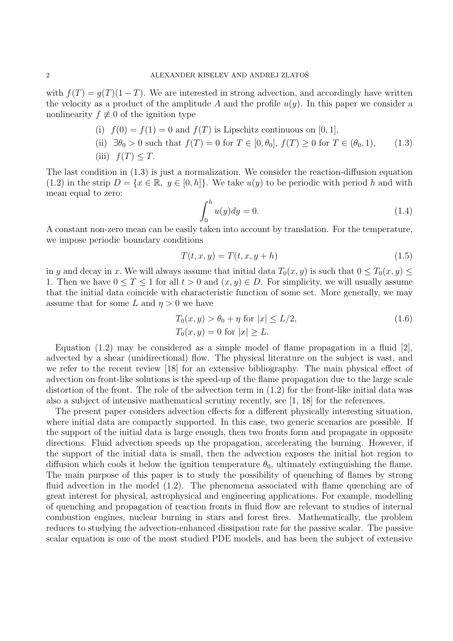with  $f(T) = g(T)(1 - T)$ . We are interested in strong advection, and accordingly have written the velocity as a product of the amplitude A and the profile  $u(y)$ . In this paper we consider a nonlinearity  $f \not\equiv 0$  of the ignition type

\n- (i) 
$$
f(0) = f(1) = 0
$$
 and  $f(T)$  is Lipschitz continuous on [0, 1],
\n- (ii)  $\exists \theta_0 > 0$  such that  $f(T) = 0$  for  $T \in [0, \theta_0]$ ,  $f(T) \geq 0$  for  $T \in (\theta_0, 1)$ ,
\n- (iii)  $f(T) \leq T$ .
\n

The last condition in (1.3) is just a normalization. We consider the reaction-diffusion equation (1.2) in the strip  $D = \{x \in \mathbb{R}, y \in [0, h]\}.$  We take  $u(y)$  to be periodic with period h and with mean equal to zero:

$$
\int_0^h u(y)dy = 0.
$$
\n(1.4)

A constant non-zero mean can be easily taken into account by translation. For the temperature, we impose periodic boundary conditions

$$
T(t, x, y) = T(t, x, y + h)
$$
\n
$$
(1.5)
$$

in y and decay in x. We will always assume that initial data  $T_0(x, y)$  is such that  $0 \le T_0(x, y) \le$ 1. Then we have  $0 \leq T \leq 1$  for all  $t > 0$  and  $(x, y) \in D$ . For simplicity, we will usually assume that the initial data coincide with characteristic function of some set. More generally, we may assume that for some L and  $\eta > 0$  we have

$$
T_0(x, y) > \theta_0 + \eta \text{ for } |x| \le L/2,
$$
  
\n
$$
T_0(x, y) = 0 \text{ for } |x| \ge L.
$$
\n(1.6)

Equation  $(1.2)$  may be considered as a simple model of flame propagation in a fluid [2]. advected by a shear (unidirectional) flow. The physical literature on the subject is vast, and we refer to the recent review [18] for an extensive bibliography. The main physical effect of advection on front-like solutions is the speed-up of the flame propagation due to the large scale distortion of the front. The role of the advection term in  $(1.2)$  for the front-like initial data was also a subject of intensive mathematical scrutiny recently, see [1, 18] for the references.

The present paper considers advection effects for a different physically interesting situation, where initial data are compactly supported. In this case, two generic scenarios are possible. If the support of the initial data is large enough, then two fronts form and propagate in opposite directions. Fluid advection speeds up the propagation, accelerating the burning. However, if the support of the initial data is small, then the advection exposes the initial hot region to diffusion which cools it below the ignition temperature  $\theta_0$ , ultimately extinguishing the flame. The main purpose of this paper is to study the possibility of quenching of flames by strong fluid advection in the model (1.2). The phenomena associated with flame quenching are of great interest for physical, astrophysical and engineering applications. For example, modelling of quenching and propagation of reaction fronts in fluid flow are relevant to studies of internal combustion engines, nuclear burning in stars and forest fires. Mathematically, the problem reduces to studying the advection-enhanced dissipation rate for the passive scalar. The passive scalar equation is one of the most studied PDE models, and has been the subject of extensive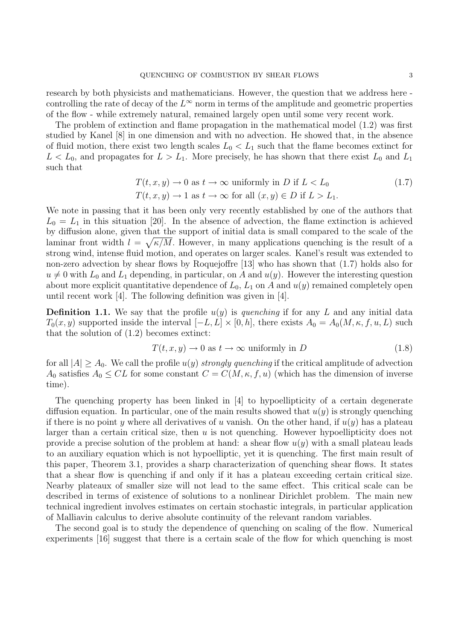research by both physicists and mathematicians. However, the question that we address here controlling the rate of decay of the  $L^{\infty}$  norm in terms of the amplitude and geometric properties of the flow - while extremely natural, remained largely open until some very recent work.

The problem of extinction and flame propagation in the mathematical model (1.2) was first studied by Kanel [8] in one dimension and with no advection. He showed that, in the absence of fluid motion, there exist two length scales  $L_0 < L_1$  such that the flame becomes extinct for  $L < L_0$ , and propagates for  $L > L_1$ . More precisely, he has shown that there exist  $L_0$  and  $L_1$ such that

$$
T(t, x, y) \to 0 \text{ as } t \to \infty \text{ uniformly in } D \text{ if } L < L_0
$$
  

$$
T(t, x, y) \to 1 \text{ as } t \to \infty \text{ for all } (x, y) \in D \text{ if } L > L_1.
$$
 (1.7)

We note in passing that it has been only very recently established by one of the authors that  $L_0 = L_1$  in this situation [20]. In the absence of advection, the flame extinction is achieved by diffusion alone, given that the support of initial data is small compared to the scale of the laminar front width  $l = \sqrt{\kappa/M}$ . However, in many applications quenching is the result of a strong wind, intense fluid motion, and operates on larger scales. Kanel's result was extended to non-zero advection by shear flows by Roquejoffre [13] who has shown that (1.7) holds also for  $u \neq 0$  with  $L_0$  and  $L_1$  depending, in particular, on A and  $u(y)$ . However the interesting question about more explicit quantitative dependence of  $L_0$ ,  $L_1$  on A and  $u(y)$  remained completely open until recent work [4]. The following definition was given in [4].

**Definition 1.1.** We say that the profile  $u(y)$  is quenching if for any L and any initial data  $T_0(x, y)$  supported inside the interval  $[-L, L] \times [0, h]$ , there exists  $A_0 = A_0(M, \kappa, f, u, L)$  such that the solution of (1.2) becomes extinct:

$$
T(t, x, y) \to 0 \text{ as } t \to \infty \text{ uniformly in } D \tag{1.8}
$$

for all  $|A| \geq A_0$ . We call the profile  $u(y)$  strongly quenching if the critical amplitude of advection  $A_0$  satisfies  $A_0 \leq CL$  for some constant  $C = C(M, \kappa, f, u)$  (which has the dimension of inverse time).

The quenching property has been linked in [4] to hypoellipticity of a certain degenerate diffusion equation. In particular, one of the main results showed that  $u(y)$  is strongly quenching if there is no point y where all derivatives of u vanish. On the other hand, if  $u(y)$  has a plateau larger than a certain critical size, then  $u$  is not quenching. However hypoellipticity does not provide a precise solution of the problem at hand: a shear flow  $u(y)$  with a small plateau leads to an auxiliary equation which is not hypoelliptic, yet it is quenching. The first main result of this paper, Theorem 3.1, provides a sharp characterization of quenching shear flows. It states that a shear flow is quenching if and only if it has a plateau exceeding certain critical size. Nearby plateaux of smaller size will not lead to the same effect. This critical scale can be described in terms of existence of solutions to a nonlinear Dirichlet problem. The main new technical ingredient involves estimates on certain stochastic integrals, in particular application of Malliavin calculus to derive absolute continuity of the relevant random variables.

The second goal is to study the dependence of quenching on scaling of the flow. Numerical experiments [16] suggest that there is a certain scale of the flow for which quenching is most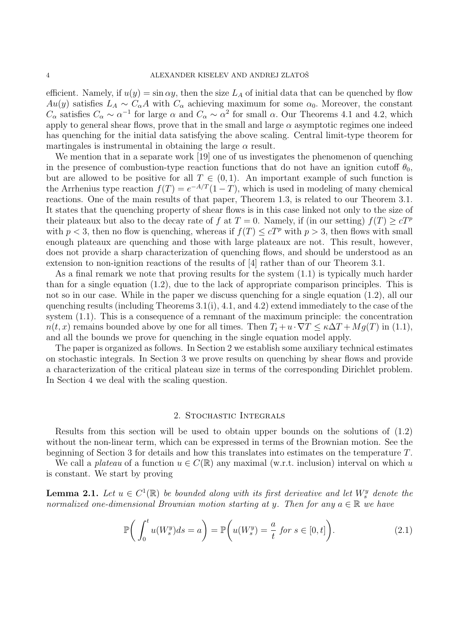efficient. Namely, if  $u(y) = \sin \alpha y$ , then the size  $L_A$  of initial data that can be quenched by flow Au(y) satisfies  $L_A \sim C_\alpha A$  with  $C_\alpha$  achieving maximum for some  $\alpha_0$ . Moreover, the constant  $C_{\alpha}$  satisfies  $C_{\alpha} \sim \alpha^{-1}$  for large  $\alpha$  and  $C_{\alpha} \sim \alpha^2$  for small  $\alpha$ . Our Theorems 4.1 and 4.2, which apply to general shear flows, prove that in the small and large  $\alpha$  asymptotic regimes one indeed has quenching for the initial data satisfying the above scaling. Central limit-type theorem for martingales is instrumental in obtaining the large  $\alpha$  result.

We mention that in a separate work [19] one of us investigates the phenomenon of quenching in the presence of combustion-type reaction functions that do not have an ignition cutoff  $\theta_0$ , but are allowed to be positive for all  $T \in (0,1)$ . An important example of such function is the Arrhenius type reaction  $f(T) = e^{-A/T}(1-T)$ , which is used in modeling of many chemical reactions. One of the main results of that paper, Theorem 1.3, is related to our Theorem 3.1. It states that the quenching property of shear flows is in this case linked not only to the size of their plateaux but also to the decay rate of f at  $T = 0$ . Namely, if (in our setting)  $f(T) \ge cT^p$ with  $p < 3$ , then no flow is quenching, whereas if  $f(T) \leq cT^p$  with  $p > 3$ , then flows with small enough plateaux are quenching and those with large plateaux are not. This result, however, does not provide a sharp characterization of quenching flows, and should be understood as an extension to non-ignition reactions of the results of [4] rather than of our Theorem 3.1.

As a final remark we note that proving results for the system (1.1) is typically much harder than for a single equation (1.2), due to the lack of appropriate comparison principles. This is not so in our case. While in the paper we discuss quenching for a single equation (1.2), all our quenching results (including Theorems 3.1(i), 4.1, and 4.2) extend immediately to the case of the system (1.1). This is a consequence of a remnant of the maximum principle: the concentration  $n(t, x)$  remains bounded above by one for all times. Then  $T_t + u \cdot \nabla T \leq \kappa \Delta T + Mg(T)$  in (1.1), and all the bounds we prove for quenching in the single equation model apply.

The paper is organized as follows. In Section 2 we establish some auxiliary technical estimates on stochastic integrals. In Section 3 we prove results on quenching by shear flows and provide a characterization of the critical plateau size in terms of the corresponding Dirichlet problem. In Section 4 we deal with the scaling question.

## 2. Stochastic Integrals

Results from this section will be used to obtain upper bounds on the solutions of (1.2) without the non-linear term, which can be expressed in terms of the Brownian motion. See the beginning of Section 3 for details and how this translates into estimates on the temperature T.

We call a plateau of a function  $u \in C(\mathbb{R})$  any maximal (w.r.t. inclusion) interval on which u is constant. We start by proving

**Lemma 2.1.** Let  $u \in C^1(\mathbb{R})$  be bounded along with its first derivative and let  $W_s^y$  denote the normalized one-dimensional Brownian motion starting at y. Then for any  $a \in \mathbb{R}$  we have

$$
\mathbb{P}\bigg(\int_0^t u(W_s^y)ds = a\bigg) = \mathbb{P}\bigg(u(W_s^y) = \frac{a}{t} \text{ for } s \in [0, t]\bigg). \tag{2.1}
$$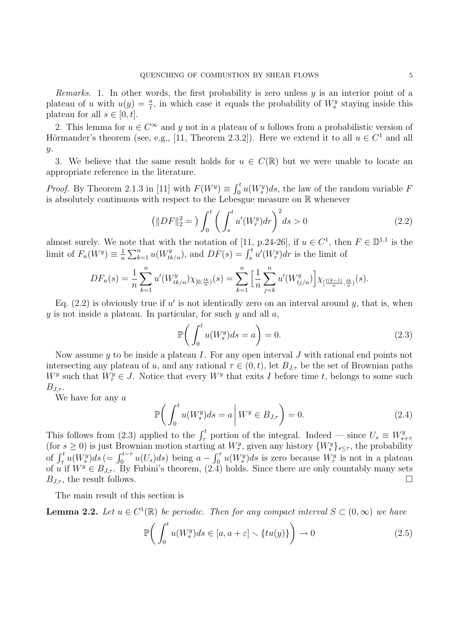*Remarks.* 1. In other words, the first probability is zero unless  $y$  is an interior point of a plateau of u with  $u(y) = \frac{a}{t}$ , in which case it equals the probability of  $W_s^y$  staying inside this plateau for all  $s \in [0, t]$ .

2. This lemma for  $u \in C^{\infty}$  and y not in a plateau of u follows from a probabilistic version of Hörmander's theorem (see, e.g., [11, Theorem 2.3.2]). Here we extend it to all  $u \in C^1$  and all  $y$ .

3. We believe that the same result holds for  $u \in C(\mathbb{R})$  but we were unable to locate an appropriate reference in the literature.

*Proof.* By Theorem 2.1.3 in [11] with  $F(W^y) \equiv \int_0^t u(W_s^y) ds$ , the law of the random variable F is absolutely continuous with respect to the Lebesgue measure on R whenever

$$
\left(\|DF\|_{2}^{2}=\right)\int_{0}^{t}\left(\int_{s}^{t}u'(W_{r}^{y})dr\right)^{2}ds>0
$$
\n(2.2)

almost surely. We note that with the notation of [11, p.24-26], if  $u \in C^1$ , then  $F \in \mathbb{D}^{1,1}$  is the limit of  $F_n(W^y) \equiv \frac{1}{n}$  $\frac{1}{n}\sum_{k=1}^n u(W_{tk/n}^y)$ , and  $DF(s) = \int_s^t u'(W_r^y) dr$  is the limit of

$$
DF_n(s) = \frac{1}{n} \sum_{k=1}^n u'(W_{tk/n}^y) \chi_{[0, \frac{tk}{n}]}(s) = \sum_{k=1}^n \left[ \frac{1}{n} \sum_{j=k}^n u'(W_{tj/n}^y) \right] \chi_{[\frac{t(k-1)}{n}, \frac{tk}{n}]}(s).
$$

Eq.  $(2.2)$  is obviously true if u' is not identically zero on an interval around y, that is, when y is not inside a plateau. In particular, for such  $y$  and all  $a$ ,

$$
\mathbb{P}\bigg(\int_0^t u(W_s^y)ds = a\bigg) = 0.\tag{2.3}
$$

Now assume  $y$  to be inside a plateau I. For any open interval J with rational end points not intersecting any plateau of u, and any rational  $\tau \in (0, t)$ , let  $B_{J,\tau}$  be the set of Brownian paths  $W<sup>y</sup>$  such that  $W_{\tau}^{y} \in J$ . Notice that every  $W^{y}$  that exits I before time t, belongs to some such  $B_{J\tau}$ .

We have for any a

$$
\mathbb{P}\bigg(\int_0^t u(W_s^y)ds = a\bigg| W^y \in B_{J,\tau}\bigg) = 0.\tag{2.4}
$$

This follows from (2.3) applied to the  $\int_{\tau}^{t}$  portion of the integral. Indeed — since  $U_s \equiv W_s^y$  $s+7$ (for  $s \geq 0$ ) is just Brownian motion starting at  $W^y_\tau$ , given any history  $\{W^y_s\}_{s \leq \tau}$ , the probability of  $\int_{\tau}^{t} u(W_s^y) ds = \int_{0}^{t-\tau} u(U_s) ds$  being  $a - \int_{0}^{\tau} u(W_s^y) ds$  is zero because  $W_{\tau}^y$  is not in a plateau of u if  $W^y \in B_{J,\tau}$ . By Fubini's theorem,  $(2.4)$  holds. Since there are only countably many sets  $B_{J,\tau}$ , the result follows.

The main result of this section is

**Lemma 2.2.** Let  $u \in C^1(\mathbb{R})$  be periodic. Then for any compact interval  $S \subset (0,\infty)$  we have

$$
\mathbb{P}\bigg(\int_0^t u(W_s^y)ds \in [a, a+\varepsilon] \setminus \{tu(y)\}\bigg) \to 0 \tag{2.5}
$$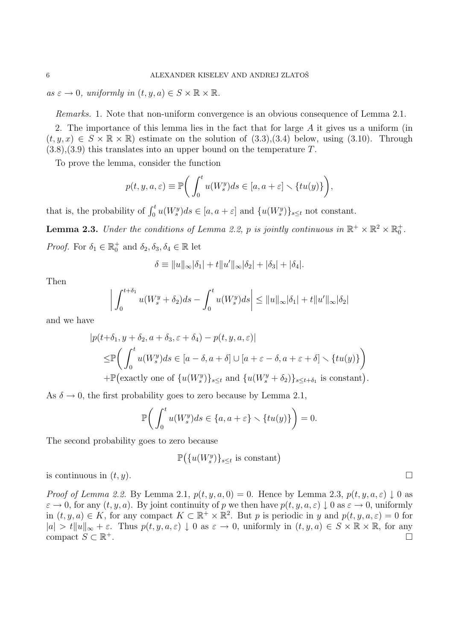$as \varepsilon \to 0$ , uniformly in  $(t, y, a) \in S \times \mathbb{R} \times \mathbb{R}$ .

Remarks. 1. Note that non-uniform convergence is an obvious consequence of Lemma 2.1.

2. The importance of this lemma lies in the fact that for large A it gives us a uniform (in  $(t, y, x) \in S \times \mathbb{R} \times \mathbb{R}$  estimate on the solution of  $(3.3), (3.4)$  below, using  $(3.10)$ . Through  $(3.8), (3.9)$  this translates into an upper bound on the temperature T.

To prove the lemma, consider the function

$$
p(t, y, a, \varepsilon) \equiv \mathbb{P}\bigg(\int_0^t u(W_s^y)ds \in [a, a + \varepsilon] \setminus \{tu(y)\}\bigg),
$$

that is, the probability of  $\int_0^t u(W_s^y)ds \in [a, a + \varepsilon]$  and  $\{u(W_s^y)\}_{s \leq t}$  not constant.

**Lemma 2.3.** Under the conditions of Lemma 2.2, p is jointly continuous in  $\mathbb{R}^+ \times \mathbb{R}^2 \times \mathbb{R}_0^+$ . *Proof.* For  $\delta_1 \in \mathbb{R}_0^+$  and  $\delta_2, \delta_3, \delta_4 \in \mathbb{R}$  let

$$
\delta \equiv ||u||_{\infty} |\delta_1| + t ||u'||_{\infty} |\delta_2| + |\delta_3| + |\delta_4|.
$$

Then

$$
\left| \int_0^{t+\delta_1} u(W_s^y + \delta_2) ds - \int_0^t u(W_s^y) ds \right| \le ||u||_{\infty} |\delta_1| + t ||u'||_{\infty} |\delta_2|
$$

and we have

$$
|p(t+\delta_1, y+\delta_2, a+\delta_3, \varepsilon+\delta_4) - p(t, y, a, \varepsilon)|
$$
  
\n
$$
\leq \mathbb{P}\bigg(\int_0^t u(W_s^y)ds \in [a-\delta, a+\delta] \cup [a+\varepsilon-\delta, a+\varepsilon+\delta] \setminus \{tu(y)\}\bigg)
$$
  
\n
$$
+ \mathbb{P}\big(\text{exactly one of } \{u(W_s^y)\}_{s\leq t} \text{ and } \{u(W_s^y+\delta_2)\}_{s\leq t+\delta_1} \text{ is constant}\big).
$$

As  $\delta \to 0$ , the first probability goes to zero because by Lemma 2.1,

$$
\mathbb{P}\bigg(\int_0^t u(W_s^y)ds \in \{a, a + \varepsilon\} \setminus \{tu(y)\}\bigg) = 0.
$$

The second probability goes to zero because

$$
\mathbb{P}(\{u(W_s^y)\}_{s\leq t} \text{ is constant})
$$

is continuous in  $(t, y)$ .

*Proof of Lemma 2.2.* By Lemma 2.1,  $p(t, y, a, 0) = 0$ . Hence by Lemma 2.3,  $p(t, y, a, \varepsilon) \downarrow 0$  as  $\varepsilon \to 0$ , for any  $(t, y, a)$ . By joint continuity of p we then have  $p(t, y, a, \varepsilon) \downarrow 0$  as  $\varepsilon \to 0$ , uniformly in  $(t, y, a) \in K$ , for any compact  $K \subset \mathbb{R}^+ \times \mathbb{R}^2$ . But p is periodic in y and  $p(t, y, a, \varepsilon) = 0$  for  $|a| > t \|u\|_{\infty} + \varepsilon$ . Thus  $p(t, y, a, \varepsilon) \downarrow 0$  as  $\varepsilon \to 0$ , uniformly in  $(t, y, a) \in S \times \mathbb{R} \times \mathbb{R}$ , for any compact  $S \subset \mathbb{R}^+$ . <sup>+</sup>.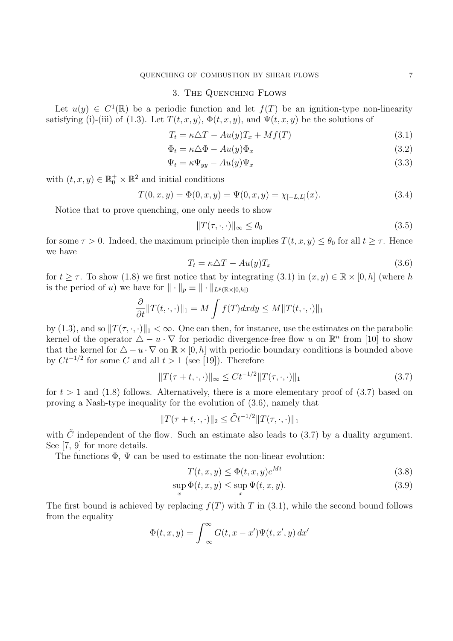### 3. THE QUENCHING FLOWS

Let  $u(y) \in C^1(\mathbb{R})$  be a periodic function and let  $f(T)$  be an ignition-type non-linearity satisfying (i)-(iii) of (1.3). Let  $T(t, x, y)$ ,  $\Phi(t, x, y)$ , and  $\Psi(t, x, y)$  be the solutions of

$$
T_t = \kappa \Delta T - Au(y) T_x + Mf(T) \tag{3.1}
$$

$$
\Phi_t = \kappa \Delta \Phi - Au(y)\Phi_x \tag{3.2}
$$

$$
\Psi_t = \kappa \Psi_{yy} - Au(y)\Psi_x \tag{3.3}
$$

with  $(t, x, y) \in \mathbb{R}_0^+ \times \mathbb{R}^2$  and initial conditions

$$
T(0, x, y) = \Phi(0, x, y) = \Psi(0, x, y) = \chi_{[-L, L]}(x).
$$
\n(3.4)

Notice that to prove quenching, one only needs to show

$$
||T(\tau, \cdot, \cdot)||_{\infty} \le \theta_0 \tag{3.5}
$$

for some  $\tau > 0$ . Indeed, the maximum principle then implies  $T(t, x, y) \leq \theta_0$  for all  $t \geq \tau$ . Hence we have

$$
T_t = \kappa \Delta T - Au(y) T_x \tag{3.6}
$$

for  $t \geq \tau$ . To show (1.8) we first notice that by integrating (3.1) in  $(x, y) \in \mathbb{R} \times [0, h]$  (where h is the period of u) we have for  $\|\cdot\|_p \equiv \|\cdot\|_{L^p(\mathbb{R}\times[0,h])}$ 

$$
\frac{\partial}{\partial t} ||T(t,\cdot,\cdot)||_1 = M \int f(T) dx dy \le M ||T(t,\cdot,\cdot)||_1
$$

by (1.3), and so  $||T(\tau, \cdot, \cdot)||_1 < \infty$ . One can then, for instance, use the estimates on the parabolic kernel of the operator  $\Delta - u \cdot \nabla$  for periodic divergence-free flow u on  $\mathbb{R}^n$  from [10] to show that the kernel for  $\Delta - u \cdot \nabla$  on  $\mathbb{R} \times [0, h]$  with periodic boundary conditions is bounded above by  $C t^{-1/2}$  for some C and all  $t > 1$  (see [19]). Therefore

$$
||T(\tau + t, \cdot, \cdot)||_{\infty} \le Ct^{-1/2}||T(\tau, \cdot, \cdot)||_{1}
$$
\n(3.7)

for  $t > 1$  and (1.8) follows. Alternatively, there is a more elementary proof of (3.7) based on proving a Nash-type inequality for the evolution of (3.6), namely that

$$
||T(\tau + t, \cdot, \cdot)||_2 \leq \tilde{C}t^{-1/2}||T(\tau, \cdot, \cdot)||_1
$$

with  $\tilde{C}$  independent of the flow. Such an estimate also leads to (3.7) by a duality argument. See [7, 9] for more details.

The functions  $\Phi$ ,  $\Psi$  can be used to estimate the non-linear evolution:

$$
T(t, x, y) \le \Phi(t, x, y)e^{Mt}
$$
\n(3.8)

$$
\sup_{x} \Phi(t, x, y) \le \sup_{x} \Psi(t, x, y). \tag{3.9}
$$

The first bound is achieved by replacing  $f(T)$  with T in (3.1), while the second bound follows from the equality

$$
\Phi(t, x, y) = \int_{-\infty}^{\infty} G(t, x - x') \Psi(t, x', y) dx'
$$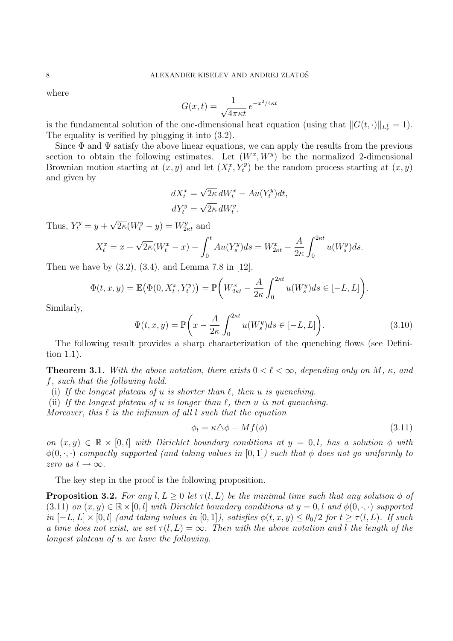where

$$
G(x,t) = \frac{1}{\sqrt{4\pi\kappa t}} e^{-x^2/4\kappa t}
$$

is the fundamental solution of the one-dimensional heat equation (using that  $||G(t, \cdot)||_{L_x^1} = 1$ ). The equality is verified by plugging it into (3.2).

Since  $\Phi$  and  $\Psi$  satisfy the above linear equations, we can apply the results from the previous section to obtain the following estimates. Let  $(W^x, W^y)$  be the normalized 2-dimensional Brownian motion starting at  $(x, y)$  and let  $(X_t^x, Y_t^y)$  be the random process starting at  $(x, y)$ and given by

$$
dX_t^x = \sqrt{2\kappa} \, dW_t^x - Au(Y_t^y)dt,
$$
  
\n
$$
dY_t^y = \sqrt{2\kappa} \, dW_t^y.
$$

Thus,  $Y_t^y = y +$ √  $\overline{2\kappa}(W_t^y - y) = W_{2\kappa t}^y$  and

$$
X_t^x = x + \sqrt{2\kappa}(W_t^x - x) - \int_0^t Au(Y_s^y)ds = W_{2\kappa t}^x - \frac{A}{2\kappa} \int_0^{2\kappa t} u(W_s^y)ds.
$$

Then we have by  $(3.2)$ ,  $(3.4)$ , and Lemma 7.8 in [12],

$$
\Phi(t, x, y) = \mathbb{E}\big(\Phi(0, X_t^x, Y_t^y)\big) = \mathbb{P}\bigg(W_{2\kappa t}^x - \frac{A}{2\kappa} \int_0^{2\kappa t} u(W_s^y)ds \in [-L, L]\bigg).
$$

Similarly,

$$
\Psi(t,x,y) = \mathbb{P}\bigg(x - \frac{A}{2\kappa} \int_0^{2\kappa t} u(W_s^y) ds \in [-L, L]\bigg). \tag{3.10}
$$

The following result provides a sharp characterization of the quenching flows (see Definition 1.1).

**Theorem 3.1.** With the above notation, there exists  $0 < \ell < \infty$ , depending only on M,  $\kappa$ , and f, such that the following hold.

(i) If the longest plateau of u is shorter than  $\ell$ , then u is quenching.

(ii) If the longest plateau of u is longer than  $\ell$ , then u is not quenching.

Moreover, this  $\ell$  is the infimum of all l such that the equation

$$
\phi_t = \kappa \Delta \phi + M f(\phi) \tag{3.11}
$$

on  $(x, y) \in \mathbb{R} \times [0, l]$  with Dirichlet boundary conditions at  $y = 0, l$ , has a solution  $\phi$  with  $\phi(0, \cdot, \cdot)$  compactly supported (and taking values in [0,1]) such that  $\phi$  does not go uniformly to zero as  $t \to \infty$ .

The key step in the proof is the following proposition.

**Proposition 3.2.** For any l,  $L > 0$  let  $\tau(l, L)$  be the minimal time such that any solution  $\phi$  of (3.11) on  $(x, y) \in \mathbb{R} \times [0, l]$  with Dirichlet boundary conditions at  $y = 0, l$  and  $\phi(0, \cdot, \cdot)$  supported in  $[-L, L] \times [0, l]$  (and taking values in  $[0, 1]$ ), satisfies  $\phi(t, x, y) \leq \theta_0/2$  for  $t \geq \tau(l, L)$ . If such a time does not exist, we set  $\tau(l, L) = \infty$ . Then with the above notation and l the length of the longest plateau of u we have the following.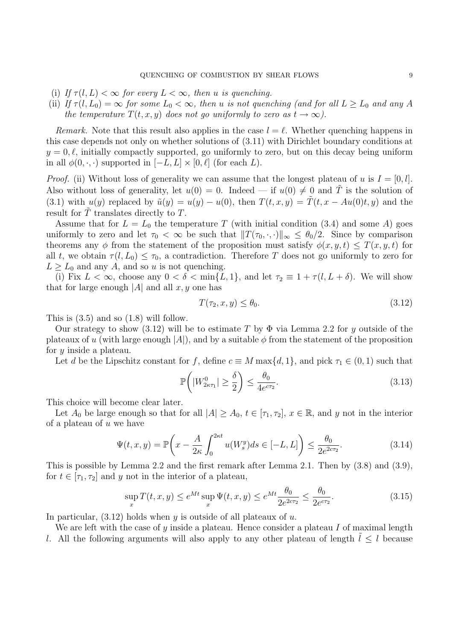- (i) If  $\tau(l, L) < \infty$  for every  $L < \infty$ , then u is quenching.
- (ii) If  $\tau(l, L_0) = \infty$  for some  $L_0 < \infty$ , then u is not quenching (and for all  $L \geq L_0$  and any A the temperature  $T(t, x, y)$  does not go uniformly to zero as  $t \to \infty$ ).

Remark. Note that this result also applies in the case  $l = \ell$ . Whether quenching happens in this case depends not only on whether solutions of (3.11) with Dirichlet boundary conditions at  $y = 0, \ell$ , initially compactly supported, go uniformly to zero, but on this decay being uniform in all  $\phi(0, \cdot, \cdot)$  supported in  $[-L, L] \times [0, \ell]$  (for each L).

*Proof.* (ii) Without loss of generality we can assume that the longest plateau of u is  $I = [0, l]$ . Also without loss of generality, let  $u(0) = 0$ . Indeed — if  $u(0) \neq 0$  and T is the solution of (3.1) with  $u(y)$  replaced by  $\tilde{u}(y) = u(y) - u(0)$ , then  $T(t, x, y) = \tilde{T}(t, x - Au(0)t, y)$  and the result for  $\tilde{T}$  translates directly to  $T$ .

Assume that for  $L = L_0$  the temperature T (with initial condition (3.4) and some A) goes uniformly to zero and let  $\tau_0 < \infty$  be such that  $||T(\tau_0, \cdot, \cdot)||_{\infty} \leq \theta_0/2$ . Since by comparison theorems any  $\phi$  from the statement of the proposition must satisfy  $\phi(x, y, t) \leq T(x, y, t)$  for all t, we obtain  $\tau(l, L_0) \leq \tau_0$ , a contradiction. Therefore T does not go uniformly to zero for  $L \geq L_0$  and any A, and so u is not quenching.

(i) Fix  $L < \infty$ , choose any  $0 < \delta < \min\{L, 1\}$ , and let  $\tau_2 \equiv 1 + \tau(l, L + \delta)$ . We will show that for large enough  $|A|$  and all  $x, y$  one has

$$
T(\tau_2, x, y) \le \theta_0. \tag{3.12}
$$

This is (3.5) and so (1.8) will follow.

Our strategy to show (3.12) will be to estimate T by  $\Phi$  via Lemma 2.2 for y outside of the plateaux of u (with large enough  $|A|$ ), and by a suitable  $\phi$  from the statement of the proposition for y inside a plateau.

Let d be the Lipschitz constant for f, define  $c \equiv M \max\{d, 1\}$ , and pick  $\tau_1 \in (0, 1)$  such that

$$
\mathbb{P}\left(|W_{2\kappa\tau_1}^0| \geq \frac{\delta}{2}\right) \leq \frac{\theta_0}{4e^{c\tau_2}}.\tag{3.13}
$$

This choice will become clear later.

Let  $A_0$  be large enough so that for all  $|A| \ge A_0$ ,  $t \in [\tau_1, \tau_2]$ ,  $x \in \mathbb{R}$ , and y not in the interior of a plateau of  $u$  we have

$$
\Psi(t,x,y) = \mathbb{P}\left(x - \frac{A}{2\kappa} \int_0^{2\kappa t} u(W_s^y) ds \in [-L, L]\right) \le \frac{\theta_0}{2e^{2c\tau_2}}.\tag{3.14}
$$

This is possible by Lemma 2.2 and the first remark after Lemma 2.1. Then by (3.8) and (3.9), for  $t \in [\tau_1, \tau_2]$  and y not in the interior of a plateau,

$$
\sup_{x} T(t, x, y) \le e^{Mt} \sup_{x} \Psi(t, x, y) \le e^{Mt} \frac{\theta_0}{2e^{2c\tau_2}} \le \frac{\theta_0}{2e^{c\tau_2}}.
$$
\n(3.15)

In particular,  $(3.12)$  holds when y is outside of all plateaux of u.

We are left with the case of  $y$  inside a plateau. Hence consider a plateau  $I$  of maximal length l. All the following arguments will also apply to any other plateau of length  $l \leq l$  because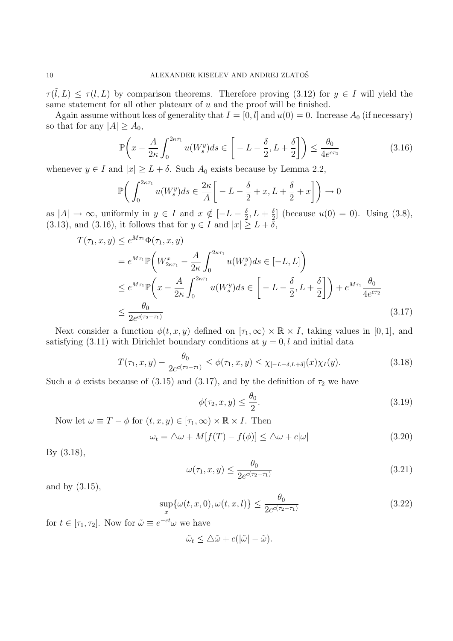$\tau(\tilde{l}, L) \leq \tau(l, L)$  by comparison theorems. Therefore proving (3.12) for  $y \in I$  will yield the same statement for all other plateaux of  $u$  and the proof will be finished.

Again assume without loss of generality that  $I = [0, l]$  and  $u(0) = 0$ . Increase  $A_0$  (if necessary) so that for any  $|A| \geq A_0$ ,

$$
\mathbb{P}\left(x - \frac{A}{2\kappa} \int_0^{2\kappa\tau_1} u(W_s^y) ds \in \left[ -L - \frac{\delta}{2}, L + \frac{\delta}{2} \right] \right) \le \frac{\theta_0}{4e^{\epsilon\tau_2}} \tag{3.16}
$$

whenever  $y \in I$  and  $|x| \geq L + \delta$ . Such  $A_0$  exists because by Lemma 2.2,

$$
\mathbb{P}\bigg(\int_0^{2\kappa\tau_1} u(W_s^y)ds \in \frac{2\kappa}{A} \bigg[-L - \frac{\delta}{2} + x, L + \frac{\delta}{2} + x\bigg]\bigg) \to 0
$$

as  $|A| \to \infty$ , uniformly in  $y \in I$  and  $x \notin [-L-\frac{\delta}{2}]$  $\frac{\delta}{2}, L + \frac{\delta}{2}$  $\frac{2}{2}$  (because  $u(0) = 0$ ). Using (3.8), (3.13), and (3.16), it follows that for  $y \in I$  and  $|x| \geq L + \delta$ ,

$$
T(\tau_1, x, y) \le e^{M\tau_1} \Phi(\tau_1, x, y)
$$
  
\n
$$
= e^{M\tau_1} \mathbb{P}\left(W_{2\kappa\tau_1}^x - \frac{A}{2\kappa} \int_0^{2\kappa\tau_1} u(W_s^y) ds \in [-L, L]\right)
$$
  
\n
$$
\le e^{M\tau_1} \mathbb{P}\left(x - \frac{A}{2\kappa} \int_0^{2\kappa\tau_1} u(W_s^y) ds \in \left[-L - \frac{\delta}{2}, L + \frac{\delta}{2}\right]\right) + e^{M\tau_1} \frac{\theta_0}{4e^{\tau_2}}
$$
  
\n
$$
\le \frac{\theta_0}{2e^{c(\tau_2 - \tau_1)}}
$$
\n(3.17)

Next consider a function  $\phi(t, x, y)$  defined on  $[\tau_1, \infty) \times \mathbb{R} \times I$ , taking values in [0, 1], and satisfying (3.11) with Dirichlet boundary conditions at  $y = 0, l$  and initial data

$$
T(\tau_1, x, y) - \frac{\theta_0}{2e^{c(\tau_2 - \tau_1)}} \le \phi(\tau_1, x, y) \le \chi_{[-L - \delta, L + \delta]}(x)\chi_I(y). \tag{3.18}
$$

Such a  $\phi$  exists because of (3.15) and (3.17), and by the definition of  $\tau_2$  we have

$$
\phi(\tau_2, x, y) \le \frac{\theta_0}{2}.\tag{3.19}
$$

Now let  $\omega \equiv T - \phi$  for  $(t, x, y) \in [\tau_1, \infty) \times \mathbb{R} \times I$ . Then

$$
\omega_t = \Delta \omega + M[f(T) - f(\phi)] \le \Delta \omega + c|\omega| \tag{3.20}
$$

By (3.18),

$$
\omega(\tau_1, x, y) \le \frac{\theta_0}{2e^{c(\tau_2 - \tau_1)}}\tag{3.21}
$$

and by (3.15),

$$
\sup_{x} \{ \omega(t, x, 0), \omega(t, x, l) \} \le \frac{\theta_0}{2e^{c(\tau_2 - \tau_1)}} \tag{3.22}
$$

for  $t \in [\tau_1, \tau_2]$ . Now for  $\tilde{\omega} \equiv e^{-ct} \omega$  we have

$$
\tilde{\omega}_t \leq \Delta \tilde{\omega} + c(|\tilde{\omega}| - \tilde{\omega}).
$$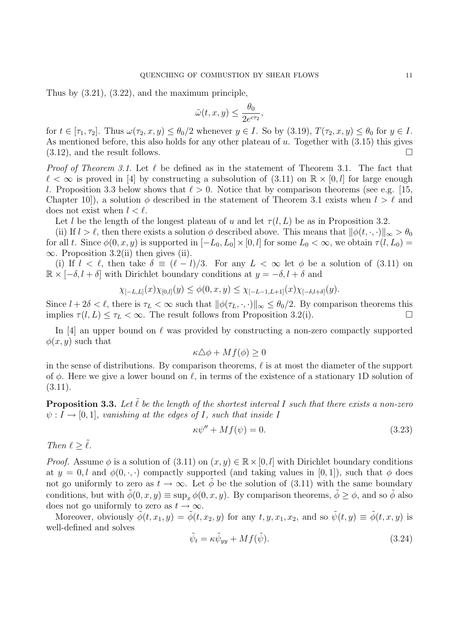Thus by (3.21), (3.22), and the maximum principle,

$$
\tilde{\omega}(t, x, y) \le \frac{\theta_0}{2e^{c\tau_2}},
$$

for  $t \in [\tau_1, \tau_2]$ . Thus  $\omega(\tau_2, x, y) \leq \theta_0/2$  whenever  $y \in I$ . So by (3.19),  $T(\tau_2, x, y) \leq \theta_0$  for  $y \in I$ . As mentioned before, this also holds for any other plateau of  $u$ . Together with  $(3.15)$  this gives  $(3.12)$ , and the result follows.

*Proof of Theorem 3.1.* Let  $\ell$  be defined as in the statement of Theorem 3.1. The fact that  $\ell < \infty$  is proved in [4] by constructing a subsolution of (3.11) on  $\mathbb{R} \times [0, l]$  for large enough l. Proposition 3.3 below shows that  $\ell > 0$ . Notice that by comparison theorems (see e.g. [15, Chapter 10, a solution  $\phi$  described in the statement of Theorem 3.1 exists when  $l > l$  and does not exist when  $l < \ell$ .

Let l be the length of the longest plateau of u and let  $\tau(l, L)$  be as in Proposition 3.2.

(ii) If  $l > l$ , then there exists a solution  $\phi$  described above. This means that  $\|\phi(t, \cdot, \cdot)\|_{\infty} > \theta_0$ for all t. Since  $\phi(0, x, y)$  is supported in  $[-L_0, L_0] \times [0, l]$  for some  $L_0 < \infty$ , we obtain  $\tau(l, L_0) =$  $\infty$ . Proposition 3.2(ii) then gives (ii).

(i) If  $l < \ell$ , then take  $\delta \equiv (\ell - l)/3$ . For any  $L < \infty$  let  $\phi$  be a solution of (3.11) on  $\mathbb{R} \times [-\delta, l + \delta]$  with Dirichlet boundary conditions at  $y = -\delta, l + \delta$  and

$$
\chi_{[-L,L]}(x)\chi_{[0,l]}(y) \leq \phi(0,x,y) \leq \chi_{[-L-1,L+1]}(x)\chi_{[-\delta,l+\delta]}(y).
$$

Since  $l + 2\delta < \ell$ , there is  $\tau_L < \infty$  such that  $\|\phi(\tau_L, \cdot, \cdot)\|_{\infty} \leq \theta_0/2$ . By comparison theorems this implies  $\tau(l, L) \leq \tau_L < \infty$ . The result follows from Proposition 3.2(i).

In [4] an upper bound on  $\ell$  was provided by constructing a non-zero compactly supported  $\phi(x, y)$  such that

$$
\kappa \Delta \phi + M f(\phi) \ge 0
$$

in the sense of distributions. By comparison theorems,  $\ell$  is at most the diameter of the support of  $\phi$ . Here we give a lower bound on  $\ell$ , in terms of the existence of a stationary 1D solution of  $(3.11).$ 

**Proposition 3.3.** Let  $\tilde{\ell}$  be the length of the shortest interval I such that there exists a non-zero  $\psi: I \to [0,1]$ , vanishing at the edges of I, such that inside I

$$
\kappa \psi'' + Mf(\psi) = 0. \tag{3.23}
$$

Then  $\ell > \tilde{\ell}$ .

*Proof.* Assume  $\phi$  is a solution of (3.11) on  $(x, y) \in \mathbb{R} \times [0, l]$  with Dirichlet boundary conditions at  $y = 0, l$  and  $\phi(0, \cdot, \cdot)$  compactly supported (and taking values in [0,1]), such that  $\phi$  does not go uniformly to zero as  $t \to \infty$ . Let  $\phi$  be the solution of (3.11) with the same boundary conditions, but with  $\phi(0, x, y) \equiv \sup_x \phi(0, x, y)$ . By comparison theorems,  $\phi \geq \phi$ , and so  $\phi$  also does not go uniformly to zero as  $t \to \infty$ .

Moreover, obviously  $\tilde{\phi}(t, x_1, y) = \tilde{\phi}(t, x_2, y)$  for any  $t, y, x_1, x_2$ , and so  $\tilde{\psi}(t, y) \equiv \tilde{\phi}(t, x, y)$  is well-defined and solves

$$
\tilde{\psi}_t = \kappa \tilde{\psi}_{yy} + M f(\tilde{\psi}). \tag{3.24}
$$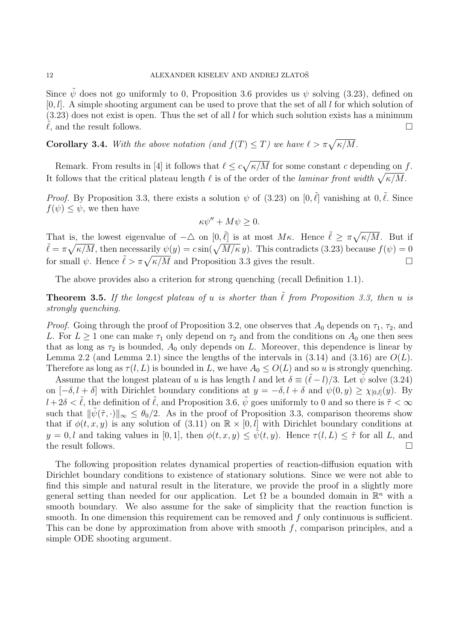Since  $\tilde{\psi}$  does not go uniformly to 0, Proposition 3.6 provides us  $\psi$  solving (3.23), defined on  $[0, l]$ . A simple shooting argument can be used to prove that the set of all l for which solution of  $(3.23)$  does not exist is open. Thus the set of all l for which such solution exists has a minimum  $\ell$ , and the result follows.

**Corollary 3.4.** With the above notation (and  $f(T) \leq T$ ) we have  $\ell > \pi \sqrt{\kappa/M}$ .

Remark. From results in [4] it follows that  $\ell \leq c \sqrt{\kappa/M}$  for some constant c depending on f. It follows that the critical plateau length  $\ell$  is of the order of the laminar front width  $\sqrt{\kappa/M}$ .

*Proof.* By Proposition 3.3, there exists a solution  $\psi$  of (3.23) on [0,  $\tilde{\ell}$ ] vanishing at 0,  $\tilde{\ell}$ . Since  $f(\psi) \leq \psi$ , we then have

$$
\kappa \psi'' + M\psi \ge 0.
$$

That is, the lowest eigenvalue of  $-\Delta$  on  $[0,\tilde{\ell}]$  is at most M<sub>K</sub>. Hence  $\tilde{\ell} \geq \pi \sqrt{\kappa/M}$ . But if  $\tilde{\ell} = \pi \sqrt{\kappa/M}$ , then necessarily  $\psi(y) = c \sin(\sqrt{M/\kappa} y)$ . This contradicts (3.23) because  $f(\psi) = 0$ for small  $\psi$ . Hence  $\tilde{\ell} > \pi \sqrt{\kappa/M}$  and Proposition 3.3 gives the result.

The above provides also a criterion for strong quenching (recall Definition 1.1).

**Theorem 3.5.** If the longest plateau of u is shorter than  $\tilde{\ell}$  from Proposition 3.3, then u is strongly quenching.

*Proof.* Going through the proof of Proposition 3.2, one observes that  $A_0$  depends on  $\tau_1$ ,  $\tau_2$ , and L. For  $L \geq 1$  one can make  $\tau_1$  only depend on  $\tau_2$  and from the conditions on  $A_0$  one then sees that as long as  $\tau_2$  is bounded,  $A_0$  only depends on L. Moreover, this dependence is linear by Lemma 2.2 (and Lemma 2.1) since the lengths of the intervals in  $(3.14)$  and  $(3.16)$  are  $O(L)$ . Therefore as long as  $\tau(l, L)$  is bounded in L, we have  $A_0 \leq O(L)$  and so u is strongly quenching.

Assume that the longest plateau of u is has length l and let  $\delta \equiv (\tilde{\ell} - l)/3$ . Let  $\tilde{\psi}$  solve (3.24) on  $[-\delta, l + \delta]$  with Dirichlet boundary conditions at  $y = -\delta, l + \delta$  and  $\psi(0, y) \geq \chi_{[0,l]}(y)$ . By  $l + 2\delta < \tilde{\ell}$ , the definition of  $\tilde{\ell}$ , and Proposition 3.6,  $\tilde{\psi}$  goes uniformly to 0 and so there is  $\tilde{\tau} < \infty$ such that  $\|\tilde{\psi}(\tilde{\tau},\cdot)\|_{\infty} \leq \theta_0/2$ . As in the proof of Proposition 3.3, comparison theorems show that if  $\phi(t, x, y)$  is any solution of (3.11) on  $\mathbb{R} \times [0, l]$  with Dirichlet boundary conditions at  $y = 0, l$  and taking values in [0, 1], then  $\phi(t, x, y) \leq \psi(t, y)$ . Hence  $\tau(l, L) \leq \tilde{\tau}$  for all L, and the result follows.  $\Box$ 

The following proposition relates dynamical properties of reaction-diffusion equation with Dirichlet boundary conditions to existence of stationary solutions. Since we were not able to find this simple and natural result in the literature, we provide the proof in a slightly more general setting than needed for our application. Let  $\Omega$  be a bounded domain in  $\mathbb{R}^n$  with a smooth boundary. We also assume for the sake of simplicity that the reaction function is smooth. In one dimension this requirement can be removed and  $f$  only continuous is sufficient. This can be done by approximation from above with smooth  $f$ , comparison principles, and a simple ODE shooting argument.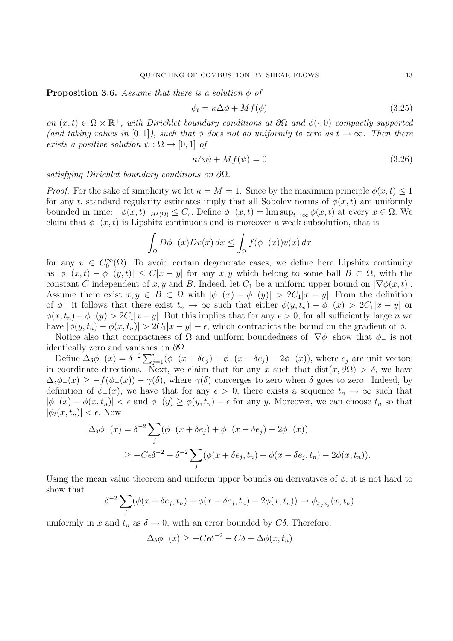#### **Proposition 3.6.** Assume that there is a solution  $\phi$  of

$$
\phi_t = \kappa \Delta \phi + M f(\phi) \tag{3.25}
$$

on  $(x,t) \in \Omega \times \mathbb{R}^+$ , with Dirichlet boundary conditions at  $\partial\Omega$  and  $\phi(\cdot,0)$  compactly supported (and taking values in [0,1]), such that  $\phi$  does not go uniformly to zero as  $t \to \infty$ . Then there exists a positive solution  $\psi : \Omega \to [0,1]$  of

$$
\kappa \Delta \psi + M f(\psi) = 0 \tag{3.26}
$$

satisfying Dirichlet boundary conditions on ∂Ω.

*Proof.* For the sake of simplicity we let  $\kappa = M = 1$ . Since by the maximum principle  $\phi(x, t) \leq 1$ for any t, standard regularity estimates imply that all Sobolev norms of  $\phi(x, t)$  are uniformly bounded in time:  $\|\phi(x, t)\|_{H^s(\Omega)} \leq C_s$ . Define  $\phi_-(x, t) = \limsup_{t\to\infty} \phi(x, t)$  at every  $x \in \Omega$ . We claim that  $\phi_-(x,t)$  is Lipshitz continuous and is moreover a weak subsolution, that is

$$
\int_{\Omega} D\phi_{-}(x)Dv(x) dx \le \int_{\Omega} f(\phi_{-}(x))v(x) dx
$$

for any  $v \in C_0^{\infty}(\Omega)$ . To avoid certain degenerate cases, we define here Lipshitz continuity as  $|\phi_-(x,t) - \phi_-(y,t)| \leq C|x-y|$  for any  $x, y$  which belong to some ball  $B \subset \Omega$ , with the constant C independent of x, y and B. Indeed, let  $C_1$  be a uniform upper bound on  $|\nabla \phi(x, t)|$ . Assume there exist  $x, y \in B \subset \Omega$  with  $|\phi_-(x) - \phi_-(y)| > 2C_1|x-y|$ . From the definition of  $\phi_-$  it follows that there exist  $t_n \to \infty$  such that either  $\phi(y, t_n) - \phi_-(x) > 2C_1|x - y|$  or  $\phi(x, t_n) - \phi_-(y) > 2C_1|x-y|$ . But this implies that for any  $\epsilon > 0$ , for all sufficiently large n we have  $|\phi(y, t_n) - \phi(x, t_n)| > 2C_1|x - y| - \epsilon$ , which contradicts the bound on the gradient of  $\phi$ .

Notice also that compactness of  $\Omega$  and uniform boundedness of  $|\nabla \phi|$  show that  $\phi_-$  is not identically zero and vanishes on  $\partial\Omega$ .

Define  $\Delta_{\delta}\phi_{-}(x) = \delta^{-2}\sum_{j=1}^{n}(\phi_{-}(x+\delta e_j) + \phi_{-}(x-\delta e_j) - 2\phi_{-}(x))$ , where  $e_j$  are unit vectors in coordinate directions. Next, we claim that for any x such that  $dist(x, \partial\Omega) > \delta$ , we have  $\Delta_{\delta}\phi_{-}(x) \geq -f(\phi_{-}(x)) - \gamma(\delta)$ , where  $\gamma(\delta)$  converges to zero when  $\delta$  goes to zero. Indeed, by definition of  $\phi_-(x)$ , we have that for any  $\epsilon > 0$ , there exists a sequence  $t_n \to \infty$  such that  $|\phi_-(x) - \phi(x, t_n)| < \epsilon$  and  $\phi_-(y) \ge \phi(y, t_n) - \epsilon$  for any y. Moreover, we can choose  $t_n$  so that  $|\phi_t(x, t_n)| < \epsilon$ . Now

$$
\Delta_{\delta}\phi_{-}(x) = \delta^{-2} \sum_{j} (\phi_{-}(x + \delta e_j) + \phi_{-}(x - \delta e_j) - 2\phi_{-}(x))
$$
  
 
$$
\geq -C\epsilon \delta^{-2} + \delta^{-2} \sum_{j} (\phi(x + \delta e_j, t_n) + \phi(x - \delta e_j, t_n) - 2\phi(x, t_n)).
$$

Using the mean value theorem and uniform upper bounds on derivatives of  $\phi$ , it is not hard to show that

$$
\delta^{-2} \sum_j (\phi(x + \delta e_j, t_n) + \phi(x - \delta e_j, t_n) - 2\phi(x, t_n)) \to \phi_{x_j x_j}(x, t_n)
$$

uniformly in x and  $t_n$  as  $\delta \to 0$ , with an error bounded by  $C\delta$ . Therefore,

$$
\Delta_{\delta}\phi_{-}(x) \ge -C\epsilon\delta^{-2} - C\delta + \Delta\phi(x, t_n)
$$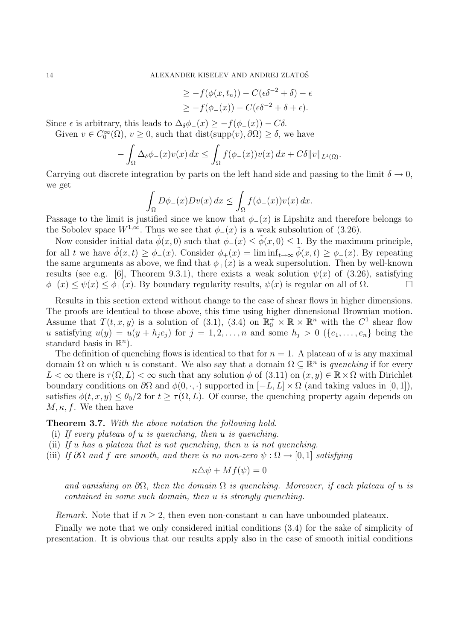$$
\geq -f(\phi(x,t_n)) - C(\epsilon \delta^{-2} + \delta) - \epsilon
$$
  

$$
\geq -f(\phi_-(x)) - C(\epsilon \delta^{-2} + \delta + \epsilon).
$$

Since  $\epsilon$  is arbitrary, this leads to  $\Delta_{\delta}\phi_-(x) \geq -f(\phi_-(x)) - C\delta$ .

Given  $v \in C_0^{\infty}(\Omega)$ ,  $v \ge 0$ , such that  $dist(\text{supp}(v), \partial \Omega) \ge \delta$ , we have

$$
-\int_{\Omega}\Delta_{\delta}\phi_{-}(x)v(x)\,dx\leq\int_{\Omega}f(\phi_{-}(x))v(x)\,dx+C\delta\|v\|_{L^{1}(\Omega)}.
$$

Carrying out discrete integration by parts on the left hand side and passing to the limit  $\delta \to 0$ , we get

$$
\int_{\Omega} D\phi_{-}(x)Dv(x) dx \leq \int_{\Omega} f(\phi_{-}(x))v(x) dx.
$$

Passage to the limit is justified since we know that  $\phi_-(x)$  is Lipshitz and therefore belongs to the Sobolev space  $W^{1,\infty}$ . Thus we see that  $\phi_-(x)$  is a weak subsolution of (3.26).

Now consider initial data  $\tilde{\phi}(x, 0)$  such that  $\phi_-(x) \leq \tilde{\phi}(x, 0) \leq 1$ . By the maximum principle, for all t we have  $\tilde{\phi}(x,t) \geq \phi_-(x)$ . Consider  $\phi_+(x) = \liminf_{t \to \infty} \tilde{\phi}(x,t) \geq \phi_-(x)$ . By repeating the same arguments as above, we find that  $\phi_{+}(x)$  is a weak supersolution. Then by well-known results (see e.g. [6], Theorem 9.3.1), there exists a weak solution  $\psi(x)$  of (3.26), satisfying  $\phi_-(x) \leq \psi(x) \leq \phi_+(x)$ . By boundary regularity results,  $\psi(x)$  is regular on all of  $\Omega$ .

Results in this section extend without change to the case of shear flows in higher dimensions. The proofs are identical to those above, this time using higher dimensional Brownian motion. Assume that  $T(t, x, y)$  is a solution of (3.1), (3.4) on  $\mathbb{R}_0^+ \times \mathbb{R} \times \mathbb{R}^n$  with the  $C^1$  shear flow u satisfying  $u(y) = u(y + h_i e_i)$  for  $j = 1, 2, ..., n$  and some  $h_i > 0$  ( $\{e_1, ..., e_n\}$  being the standard basis in  $\mathbb{R}^n$ ).

The definition of quenching flows is identical to that for  $n = 1$ . A plateau of u is any maximal domain  $\Omega$  on which u is constant. We also say that a domain  $\Omega \subseteq \mathbb{R}^n$  is quenching if for every  $L < \infty$  there is  $\tau(\Omega, L) < \infty$  such that any solution  $\phi$  of (3.11) on  $(x, y) \in \mathbb{R} \times \Omega$  with Dirichlet boundary conditions on  $\partial\Omega$  and  $\phi(0, \cdot, \cdot)$  supported in  $[-L, L] \times \Omega$  (and taking values in [0, 1]), satisfies  $\phi(t, x, y) \leq \theta_0/2$  for  $t \geq \tau(\Omega, L)$ . Of course, the quenching property again depends on  $M, \kappa, f$ . We then have

Theorem 3.7. With the above notation the following hold.

- (i) If every plateau of u is quenching, then u is quenching.
- (ii) If  $u$  has a plateau that is not quenching, then  $u$  is not quenching.
- (iii) If ∂Ω and f are smooth, and there is no non-zero  $\psi : \Omega \to [0,1]$  satisfying

$$
\kappa \Delta \psi + M f(\psi) = 0
$$

and vanishing on  $\partial\Omega$ , then the domain  $\Omega$  is quenching. Moreover, if each plateau of u is contained in some such domain, then u is strongly quenching.

*Remark.* Note that if  $n \geq 2$ , then even non-constant u can have unbounded plateaux.

Finally we note that we only considered initial conditions (3.4) for the sake of simplicity of presentation. It is obvious that our results apply also in the case of smooth initial conditions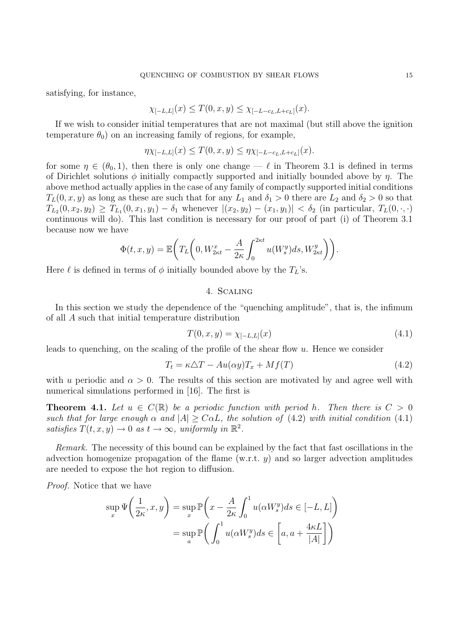satisfying, for instance,

$$
\chi_{[-L,L]}(x) \le T(0,x,y) \le \chi_{[-L-c_L,L+c_L]}(x).
$$

If we wish to consider initial temperatures that are not maximal (but still above the ignition temperature  $\theta_0$ ) on an increasing family of regions, for example,

$$
\eta \chi_{[-L,L]}(x) \le T(0,x,y) \le \eta \chi_{[-L-c_L,L+c_L]}(x).
$$

for some  $\eta \in (\theta_0, 1)$ , then there is only one change —  $\ell$  in Theorem 3.1 is defined in terms of Dirichlet solutions  $\phi$  initially compactly supported and initially bounded above by  $\eta$ . The above method actually applies in the case of any family of compactly supported initial conditions  $T_L(0, x, y)$  as long as these are such that for any  $L_1$  and  $\delta_1 > 0$  there are  $L_2$  and  $\delta_2 > 0$  so that  $T_{L_2}(0, x_2, y_2) \geq T_{L_1}(0, x_1, y_1) - \delta_1$  whenever  $|(x_2, y_2) - (x_1, y_1)| < \delta_2$  (in particular,  $T_L(0, \cdot, \cdot)$ continuous will do). This last condition is necessary for our proof of part (i) of Theorem 3.1 because now we have

$$
\Phi(t, x, y) = \mathbb{E}\bigg(T_L\bigg(0, W_{2\kappa t}^x - \frac{A}{2\kappa} \int_0^{2\kappa t} u(W_s^y)ds, W_{2\kappa t}^y\bigg)\bigg).
$$

Here  $\ell$  is defined in terms of  $\phi$  initially bounded above by the  $T_L$ 's.

## 4. Scaling

In this section we study the dependence of the "quenching amplitude", that is, the infimum of all A such that initial temperature distribution

$$
T(0, x, y) = \chi_{[-L, L]}(x) \tag{4.1}
$$

leads to quenching, on the scaling of the profile of the shear flow u. Hence we consider

$$
T_t = \kappa \Delta T - Au(\alpha y) T_x + Mf(T) \tag{4.2}
$$

with u periodic and  $\alpha > 0$ . The results of this section are motivated by and agree well with numerical simulations performed in [16]. The first is

**Theorem 4.1.** Let  $u \in C(\mathbb{R})$  be a periodic function with period h. Then there is  $C > 0$ such that for large enough  $\alpha$  and  $|A| \geq C \alpha L$ , the solution of (4.2) with initial condition (4.1) satisfies  $T(t, x, y) \to 0$  as  $t \to \infty$ , uniformly in  $\mathbb{R}^2$ .

Remark. The necessity of this bound can be explained by the fact that fast oscillations in the advection homogenize propagation of the flame (w.r.t.  $y$ ) and so larger advection amplitudes are needed to expose the hot region to diffusion.

Proof. Notice that we have

$$
\sup_{x} \Psi\left(\frac{1}{2\kappa}, x, y\right) = \sup_{x} \mathbb{P}\left(x - \frac{A}{2\kappa} \int_{0}^{1} u(\alpha W_s^y) ds \in [-L, L]\right)
$$

$$
= \sup_{a} \mathbb{P}\left(\int_{0}^{1} u(\alpha W_s^y) ds \in \left[a, a + \frac{4\kappa L}{|A|}\right]\right)
$$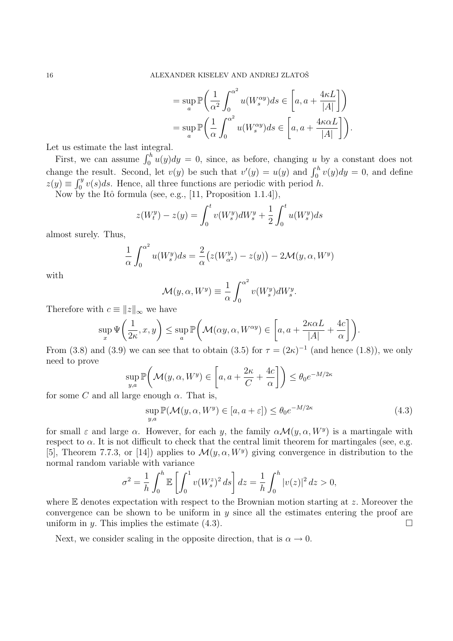$$
= \sup_{a} \mathbb{P}\left(\frac{1}{\alpha^2} \int_0^{\alpha^2} u(W_s^{\alpha y}) ds \in \left[a, a + \frac{4\kappa L}{|A|}\right]\right)
$$
  

$$
= \sup_{a} \mathbb{P}\left(\frac{1}{\alpha} \int_0^{\alpha^2} u(W_s^{\alpha y}) ds \in \left[a, a + \frac{4\kappa \alpha L}{|A|}\right]\right).
$$

Let us estimate the last integral.

First, we can assume  $\int_0^h u(y)dy = 0$ , since, as before, changing u by a constant does not change the result. Second, let  $v(y)$  be such that  $v'(y) = u(y)$  and  $\int_0^h v(y) dy = 0$ , and define  $z(y) \equiv \int_0^y v(s)ds$ . Hence, all three functions are periodic with period h.

Now by the Itô formula (see, e.g.,  $[11,$  Proposition 1.1.4]),

$$
z(W_t^y) - z(y) = \int_0^t v(W_s^y) dW_s^y + \frac{1}{2} \int_0^t u(W_s^y) ds
$$

almost surely. Thus,

$$
\frac{1}{\alpha} \int_0^{\alpha^2} u(W_s^y) ds = \frac{2}{\alpha} \left( z(W_{\alpha^2}^y) - z(y) \right) - 2\mathcal{M}(y, \alpha, W^y)
$$

with

$$
\mathcal{M}(y,\alpha,W^y) \equiv \frac{1}{\alpha} \int_0^{\alpha^2} v(W_s^y) dW_s^y.
$$

Therefore with  $c \equiv ||z||_{\infty}$  we have

$$
\sup_x \Psi\left(\frac{1}{2\kappa}, x, y\right) \le \sup_a \mathbb{P}\left(\mathcal{M}(\alpha y, \alpha, W^{\alpha y}) \in \left[a, a + \frac{2\kappa \alpha L}{|A|} + \frac{4c}{\alpha}\right]\right).
$$

From (3.8) and (3.9) we can see that to obtain (3.5) for  $\tau = (2\kappa)^{-1}$  (and hence (1.8)), we only need to prove

$$
\sup_{y,a} \mathbb{P}\bigg(\mathcal{M}(y,\alpha,W^y) \in \left[a,a+\frac{2\kappa}{C}+\frac{4c}{\alpha}\right]\bigg) \leq \theta_0 e^{-M/2\kappa}
$$

for some C and all large enough  $\alpha$ . That is,

$$
\sup_{y,a} \mathbb{P}(\mathcal{M}(y,\alpha,W^y) \in [a,a+\varepsilon]) \le \theta_0 e^{-M/2\kappa}
$$
\n(4.3)

for small  $\varepsilon$  and large  $\alpha$ . However, for each y, the family  $\alpha \mathcal{M}(y, \alpha, W^y)$  is a martingale with respect to  $\alpha$ . It is not difficult to check that the central limit theorem for martingales (see, e.g. [5], Theorem 7.7.3, or [14]) applies to  $\mathcal{M}(y, \alpha, W^y)$  giving convergence in distribution to the normal random variable with variance

$$
\sigma^2 = \frac{1}{h} \int_0^h \mathbb{E} \left[ \int_0^1 v(W_s^z)^2 ds \right] dz = \frac{1}{h} \int_0^h |v(z)|^2 dz > 0,
$$

where  $E$  denotes expectation with respect to the Brownian motion starting at z. Moreover the convergence can be shown to be uniform in  $y$  since all the estimates entering the proof are uniform in y. This implies the estimate  $(4.3)$ .

Next, we consider scaling in the opposite direction, that is  $\alpha \to 0$ .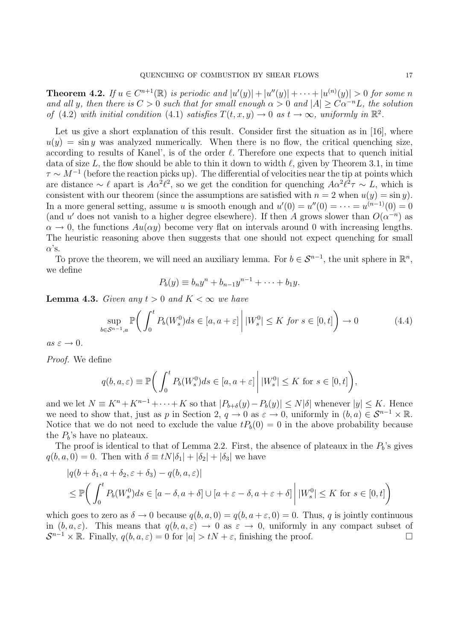**Theorem 4.2.** If  $u \in C^{n+1}(\mathbb{R})$  is periodic and  $|u'(y)| + |u''(y)| + \cdots + |u^{(n)}(y)| > 0$  for some n and all y, then there is  $C > 0$  such that for small enough  $\alpha > 0$  and  $|A| > C\alpha^{-n}L$ , the solution of (4.2) with initial condition (4.1) satisfies  $T(t, x, y) \to 0$  as  $t \to \infty$ , uniformly in  $\mathbb{R}^2$ .

Let us give a short explanation of this result. Consider first the situation as in [16], where  $u(y) = \sin y$  was analyzed numerically. When there is no flow, the critical quenching size, according to results of Kanel', is of the order  $\ell$ . Therefore one expects that to quench initial data of size L, the flow should be able to thin it down to width  $\ell$ , given by Theorem 3.1, in time  $\tau \sim M^{-1}$  (before the reaction picks up). The differential of velocities near the tip at points which are distance  $\sim \ell$  apart is  $A\alpha^2\ell^2$ , so we get the condition for quenching  $A\alpha^2\ell^2\tau \sim L$ , which is consistent with our theorem (since the assumptions are satisfied with  $n = 2$  when  $u(y) = \sin y$ ). In a more general setting, assume u is smooth enough and  $u'(0) = u''(0) = \cdots = u^{(n-1)}(0) = 0$ (and u' does not vanish to a higher degree elsewhere). If then A grows slower than  $O(\alpha^{-n})$  as  $\alpha \to 0$ , the functions  $Au(\alpha y)$  become very flat on intervals around 0 with increasing lengths. The heuristic reasoning above then suggests that one should not expect quenching for small  $\alpha$ 's.

To prove the theorem, we will need an auxiliary lemma. For  $b \in \mathcal{S}^{n-1}$ , the unit sphere in  $\mathbb{R}^n$ , we define

$$
P_b(y) \equiv b_n y^n + b_{n-1} y^{n-1} + \dots + b_1 y.
$$

**Lemma 4.3.** Given any  $t > 0$  and  $K < \infty$  we have

$$
\sup_{b \in \mathcal{S}^{n-1}, a} \mathbb{P}\bigg(\int_0^t P_b(W_s^0) ds \in [a, a+\varepsilon] \, \bigg| \, |W_s^0| \le K \text{ for } s \in [0, t]\bigg) \to 0 \tag{4.4}
$$

 $as \varepsilon \to 0.$ 

Proof. We define

$$
q(b, a, \varepsilon) \equiv \mathbb{P}\bigg(\int_0^t P_b(W_s^0)ds \in [a, a+\varepsilon] \,\bigg|\, |W_s^0| \le K \text{ for } s \in [0, t]\bigg),
$$

and we let  $N \equiv K^{n} + K^{n-1} + \cdots + K$  so that  $|P_{b+\delta}(y) - P_{b}(y)| \leq N|\delta|$  whenever  $|y| \leq K$ . Hence we need to show that, just as p in Section 2,  $q \to 0$  as  $\varepsilon \to 0$ , uniformly in  $(b, a) \in S^{n-1} \times \mathbb{R}$ . Notice that we do not need to exclude the value  $tP_b(0) = 0$  in the above probability because the  $P<sub>b</sub>$ 's have no plateaux.

The proof is identical to that of Lemma 2.2. First, the absence of plateaux in the  $P<sub>b</sub>$ 's gives  $q(b, a, 0) = 0$ . Then with  $\delta \equiv tN|\delta_1| + |\delta_2| + |\delta_3|$  we have

$$
|q(b+\delta_1, a+\delta_2, \varepsilon+\delta_3) - q(b, a, \varepsilon)|
$$
  
\n
$$
\leq \mathbb{P}\bigg(\int_0^t P_b(W_s^0)ds \in [a-\delta, a+\delta] \cup [a+\varepsilon-\delta, a+\varepsilon+\delta] \mid |W_s^0| \leq K \text{ for } s \in [0, t]\bigg)
$$

which goes to zero as  $\delta \to 0$  because  $q(b, a, 0) = q(b, a + \varepsilon, 0) = 0$ . Thus, q is jointly continuous in  $(b, a, \varepsilon)$ . This means that  $q(b, a, \varepsilon) \to 0$  as  $\varepsilon \to 0$ , uniformly in any compact subset of  $\mathcal{S}^{n-1} \times \mathbb{R}$ . Finally,  $q(b, a, \varepsilon) = 0$  for  $|a| > tN + \varepsilon$ , finishing the proof.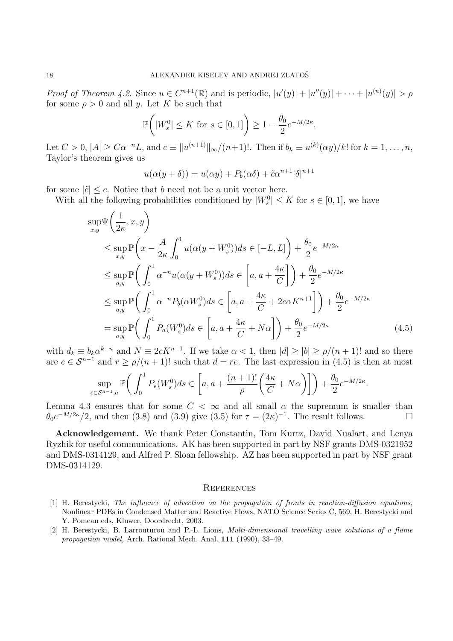Proof of Theorem 4.2. Since  $u \in C^{n+1}(\mathbb{R})$  and is periodic,  $|u'(y)| + |u''(y)| + \cdots + |u^{(n)}(y)| > \rho$ for some  $\rho > 0$  and all y. Let K be such that

$$
\mathbb{P}\bigg(|W_s^0| \le K \text{ for } s \in [0,1]\bigg) \ge 1 - \frac{\theta_0}{2} e^{-M/2\kappa}.
$$

Let  $C > 0, |A| \geq C\alpha^{-n}L$ , and  $c \equiv ||u^{(n+1)}||_{\infty}/(n+1)!$ . Then if  $b_k \equiv u^{(k)}(\alpha y)/k!$  for  $k = 1, ..., n$ , Taylor's theorem gives us

$$
u(\alpha(y+\delta)) = u(\alpha y) + P_b(\alpha \delta) + \tilde{c}\alpha^{n+1}|\delta|^{n+1}
$$

for some  $|\tilde{c}| \leq c$ . Notice that b need not be a unit vector here.

With all the following probabilities conditioned by  $|W_s^0| \leq K$  for  $s \in [0,1]$ , we have

$$
\sup_{x,y} \Psi\left(\frac{1}{2\kappa}, x, y\right)
$$
\n
$$
\leq \sup_{x,y} \mathbb{P}\left(x - \frac{A}{2\kappa} \int_0^1 u(\alpha(y + W_s^0)) ds \in [-L, L]\right) + \frac{\theta_0}{2} e^{-M/2\kappa}
$$
\n
$$
\leq \sup_{a,y} \mathbb{P}\left(\int_0^1 \alpha^{-n} u(\alpha(y + W_s^0)) ds \in \left[a, a + \frac{4\kappa}{C}\right]\right) + \frac{\theta_0}{2} e^{-M/2\kappa}
$$
\n
$$
\leq \sup_{a,y} \mathbb{P}\left(\int_0^1 \alpha^{-n} P_b(\alpha W_s^0) ds \in \left[a, a + \frac{4\kappa}{C} + 2c\alpha K^{n+1}\right]\right) + \frac{\theta_0}{2} e^{-M/2\kappa}
$$
\n
$$
= \sup_{a,y} \mathbb{P}\left(\int_0^1 P_d(W_s^0) ds \in \left[a, a + \frac{4\kappa}{C} + N\alpha\right]\right) + \frac{\theta_0}{2} e^{-M/2\kappa} \tag{4.5}
$$

with  $d_k \equiv b_k \alpha^{k-n}$  and  $N \equiv 2cK^{n+1}$ . If we take  $\alpha < 1$ , then  $|d| \ge |b| \ge \rho/(n+1)!$  and so there are  $e \in S^{n-1}$  and  $r \ge \rho/(n+1)!$  such that  $d = re$ . The last expression in (4.5) is then at most

$$
\sup_{e \in \mathcal{S}^{n-1},a} \mathbb{P}\bigg(\int_0^1 P_e(W_s^0)ds \in \left[a,a+\frac{(n+1)!}{\rho}\bigg(\frac{4\kappa}{C}+N\alpha\bigg)\right]\bigg) + \frac{\theta_0}{2}e^{-M/2\kappa}.
$$

Lemma 4.3 ensures that for some  $C < \infty$  and all small  $\alpha$  the supremum is smaller than  $\theta_0 e^{-M/2\kappa}/2$ , and then (3.8) and (3.9) give (3.5) for  $\tau = (2\kappa)^{-1}$ . The result follows.

Acknowledgement. We thank Peter Constantin, Tom Kurtz, David Nualart, and Lenya Ryzhik for useful communications. AK has been supported in part by NSF grants DMS-0321952 and DMS-0314129, and Alfred P. Sloan fellowship. AZ has been supported in part by NSF grant DMS-0314129.

#### **REFERENCES**

- [1] H. Berestycki, The influence of advection on the propagation of fronts in reaction-diffusion equations, Nonlinear PDEs in Condensed Matter and Reactive Flows, NATO Science Series C, 569, H. Berestycki and Y. Pomeau eds, Kluwer, Doordrecht, 2003.
- [2] H. Berestycki, B. Larrouturou and P.-L. Lions, Multi-dimensional travelling wave solutions of a flame propagation model, Arch. Rational Mech. Anal. 111 (1990), 33–49.